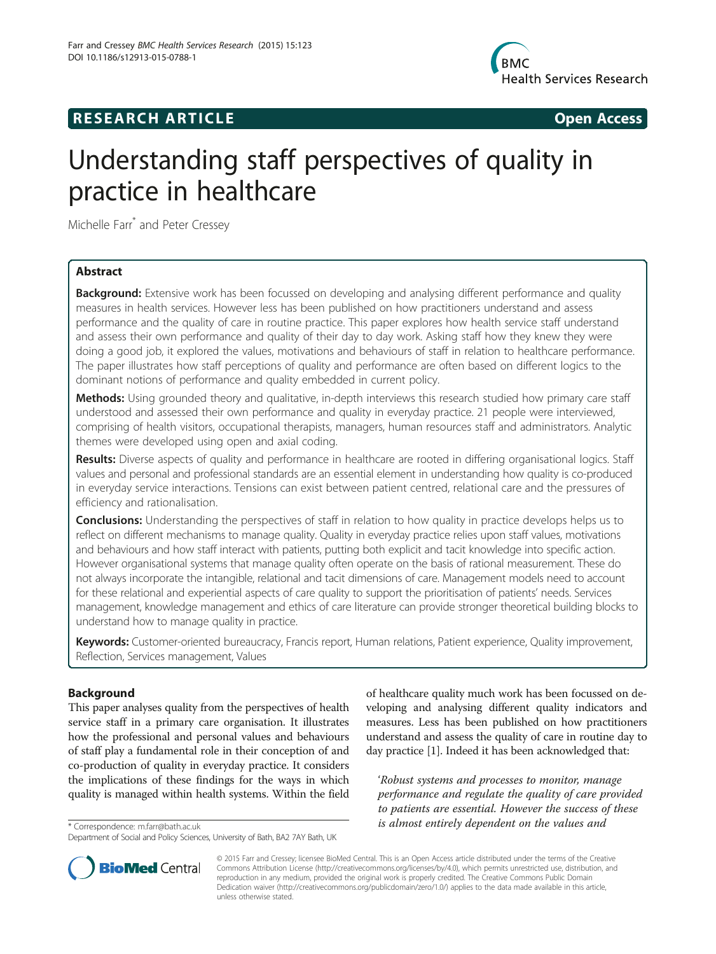



# Understanding staff perspectives of quality in practice in healthcare

Michelle Farr\* and Peter Cressey

# Abstract

**Background:** Extensive work has been focussed on developing and analysing different performance and quality measures in health services. However less has been published on how practitioners understand and assess performance and the quality of care in routine practice. This paper explores how health service staff understand and assess their own performance and quality of their day to day work. Asking staff how they knew they were doing a good job, it explored the values, motivations and behaviours of staff in relation to healthcare performance. The paper illustrates how staff perceptions of quality and performance are often based on different logics to the dominant notions of performance and quality embedded in current policy.

Methods: Using grounded theory and qualitative, in-depth interviews this research studied how primary care staff understood and assessed their own performance and quality in everyday practice. 21 people were interviewed, comprising of health visitors, occupational therapists, managers, human resources staff and administrators. Analytic themes were developed using open and axial coding.

Results: Diverse aspects of quality and performance in healthcare are rooted in differing organisational logics. Staff values and personal and professional standards are an essential element in understanding how quality is co-produced in everyday service interactions. Tensions can exist between patient centred, relational care and the pressures of efficiency and rationalisation.

**Conclusions:** Understanding the perspectives of staff in relation to how quality in practice develops helps us to reflect on different mechanisms to manage quality. Quality in everyday practice relies upon staff values, motivations and behaviours and how staff interact with patients, putting both explicit and tacit knowledge into specific action. However organisational systems that manage quality often operate on the basis of rational measurement. These do not always incorporate the intangible, relational and tacit dimensions of care. Management models need to account for these relational and experiential aspects of care quality to support the prioritisation of patients' needs. Services management, knowledge management and ethics of care literature can provide stronger theoretical building blocks to understand how to manage quality in practice.

Keywords: Customer-oriented bureaucracy, Francis report, Human relations, Patient experience, Quality improvement, Reflection, Services management, Values

# Background

This paper analyses quality from the perspectives of health service staff in a primary care organisation. It illustrates how the professional and personal values and behaviours of staff play a fundamental role in their conception of and co-production of quality in everyday practice. It considers the implications of these findings for the ways in which quality is managed within health systems. Within the field



'Robust systems and processes to monitor, manage performance and regulate the quality of care provided to patients are essential. However the success of these  $\overline{\text{``Correspondence: m.farr@bath.ac.uk}}$  $\overline{\text{``Correspondence: m.farr@bath.ac.uk}}$  $\overline{\text{``Correspondence: m.farr@bath.ac.uk}}$  is almost entirely dependent on the values and



© 2015 Farr and Cressey; licensee BioMed Central. This is an Open Access article distributed under the terms of the Creative Commons Attribution License [\(http://creativecommons.org/licenses/by/4.0\)](http://creativecommons.org/licenses/by/4.0), which permits unrestricted use, distribution, and reproduction in any medium, provided the original work is properly credited. The Creative Commons Public Domain Dedication waiver [\(http://creativecommons.org/publicdomain/zero/1.0/](http://creativecommons.org/publicdomain/zero/1.0/)) applies to the data made available in this article, unless otherwise stated.

Department of Social and Policy Sciences, University of Bath, BA2 7AY Bath, UK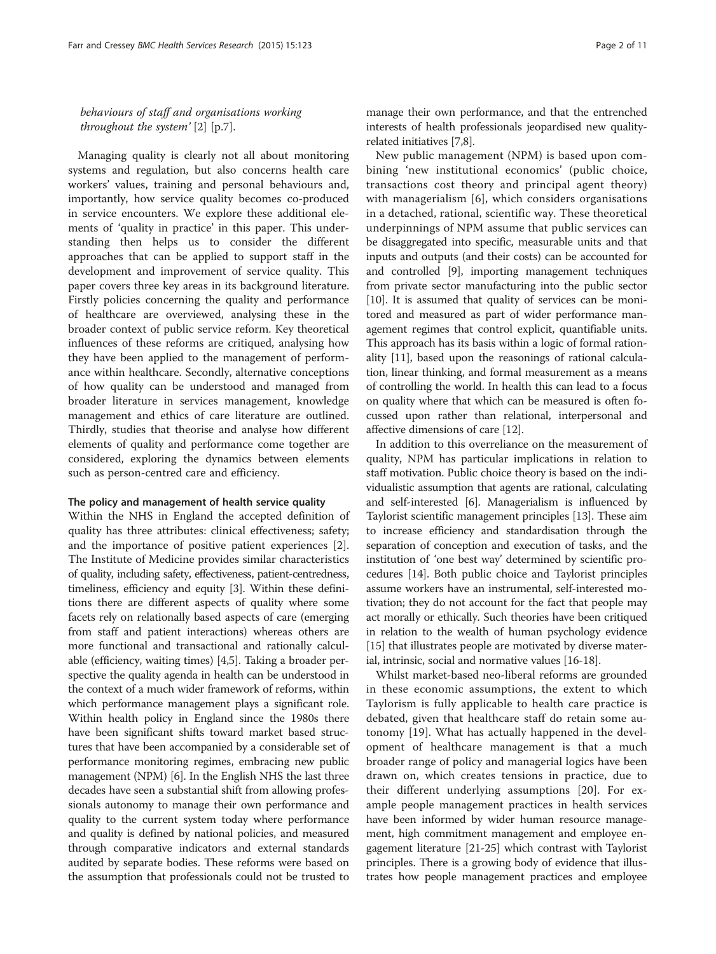behaviours of staff and organisations working throughout the system' [\[2](#page-9-0)] [p.7].

Managing quality is clearly not all about monitoring systems and regulation, but also concerns health care workers' values, training and personal behaviours and, importantly, how service quality becomes co-produced in service encounters. We explore these additional elements of 'quality in practice' in this paper. This understanding then helps us to consider the different approaches that can be applied to support staff in the development and improvement of service quality. This paper covers three key areas in its background literature. Firstly policies concerning the quality and performance of healthcare are overviewed, analysing these in the broader context of public service reform. Key theoretical influences of these reforms are critiqued, analysing how they have been applied to the management of performance within healthcare. Secondly, alternative conceptions of how quality can be understood and managed from broader literature in services management, knowledge management and ethics of care literature are outlined. Thirdly, studies that theorise and analyse how different elements of quality and performance come together are considered, exploring the dynamics between elements such as person-centred care and efficiency.

#### The policy and management of health service quality

Within the NHS in England the accepted definition of quality has three attributes: clinical effectiveness; safety; and the importance of positive patient experiences [\[2](#page-9-0)]. The Institute of Medicine provides similar characteristics of quality, including safety, effectiveness, patient-centredness, timeliness, efficiency and equity [\[3\]](#page-9-0). Within these definitions there are different aspects of quality where some facets rely on relationally based aspects of care (emerging from staff and patient interactions) whereas others are more functional and transactional and rationally calculable (efficiency, waiting times) [[4,5](#page-9-0)]. Taking a broader perspective the quality agenda in health can be understood in the context of a much wider framework of reforms, within which performance management plays a significant role. Within health policy in England since the 1980s there have been significant shifts toward market based structures that have been accompanied by a considerable set of performance monitoring regimes, embracing new public management (NPM) [[6\]](#page-9-0). In the English NHS the last three decades have seen a substantial shift from allowing professionals autonomy to manage their own performance and quality to the current system today where performance and quality is defined by national policies, and measured through comparative indicators and external standards audited by separate bodies. These reforms were based on the assumption that professionals could not be trusted to

manage their own performance, and that the entrenched interests of health professionals jeopardised new qualityrelated initiatives [\[7,8](#page-9-0)].

New public management (NPM) is based upon combining 'new institutional economics' (public choice, transactions cost theory and principal agent theory) with managerialism [\[6\]](#page-9-0), which considers organisations in a detached, rational, scientific way. These theoretical underpinnings of NPM assume that public services can be disaggregated into specific, measurable units and that inputs and outputs (and their costs) can be accounted for and controlled [\[9](#page-9-0)], importing management techniques from private sector manufacturing into the public sector [[10](#page-9-0)]. It is assumed that quality of services can be monitored and measured as part of wider performance management regimes that control explicit, quantifiable units. This approach has its basis within a logic of formal rationality [\[11](#page-9-0)], based upon the reasonings of rational calculation, linear thinking, and formal measurement as a means of controlling the world. In health this can lead to a focus on quality where that which can be measured is often focussed upon rather than relational, interpersonal and affective dimensions of care [\[12\]](#page-9-0).

In addition to this overreliance on the measurement of quality, NPM has particular implications in relation to staff motivation. Public choice theory is based on the individualistic assumption that agents are rational, calculating and self-interested [[6\]](#page-9-0). Managerialism is influenced by Taylorist scientific management principles [\[13](#page-9-0)]. These aim to increase efficiency and standardisation through the separation of conception and execution of tasks, and the institution of 'one best way' determined by scientific procedures [\[14](#page-9-0)]. Both public choice and Taylorist principles assume workers have an instrumental, self-interested motivation; they do not account for the fact that people may act morally or ethically. Such theories have been critiqued in relation to the wealth of human psychology evidence [[15](#page-9-0)] that illustrates people are motivated by diverse material, intrinsic, social and normative values [\[16-18\]](#page-9-0).

Whilst market-based neo-liberal reforms are grounded in these economic assumptions, the extent to which Taylorism is fully applicable to health care practice is debated, given that healthcare staff do retain some autonomy [\[19](#page-9-0)]. What has actually happened in the development of healthcare management is that a much broader range of policy and managerial logics have been drawn on, which creates tensions in practice, due to their different underlying assumptions [[20\]](#page-9-0). For example people management practices in health services have been informed by wider human resource management, high commitment management and employee engagement literature [\[21-25\]](#page-9-0) which contrast with Taylorist principles. There is a growing body of evidence that illustrates how people management practices and employee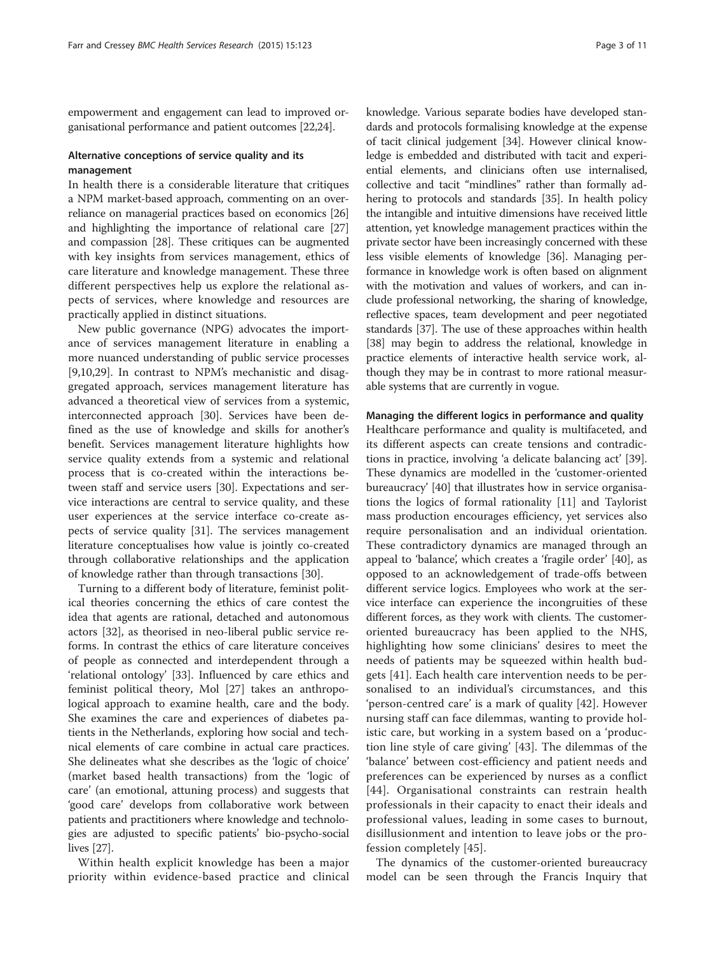empowerment and engagement can lead to improved organisational performance and patient outcomes [\[22,24\]](#page-9-0).

# Alternative conceptions of service quality and its management

In health there is a considerable literature that critiques a NPM market-based approach, commenting on an overreliance on managerial practices based on economics [[26](#page-9-0)] and highlighting the importance of relational care [[27](#page-9-0)] and compassion [[28](#page-9-0)]. These critiques can be augmented with key insights from services management, ethics of care literature and knowledge management. These three different perspectives help us explore the relational aspects of services, where knowledge and resources are practically applied in distinct situations.

New public governance (NPG) advocates the importance of services management literature in enabling a more nuanced understanding of public service processes [[9,10,29\]](#page-9-0). In contrast to NPM's mechanistic and disaggregated approach, services management literature has advanced a theoretical view of services from a systemic, interconnected approach [[30](#page-9-0)]. Services have been defined as the use of knowledge and skills for another's benefit. Services management literature highlights how service quality extends from a systemic and relational process that is co-created within the interactions between staff and service users [[30](#page-9-0)]. Expectations and service interactions are central to service quality, and these user experiences at the service interface co-create aspects of service quality [[31\]](#page-9-0). The services management literature conceptualises how value is jointly co-created through collaborative relationships and the application of knowledge rather than through transactions [[30\]](#page-9-0).

Turning to a different body of literature, feminist political theories concerning the ethics of care contest the idea that agents are rational, detached and autonomous actors [[32\]](#page-9-0), as theorised in neo-liberal public service reforms. In contrast the ethics of care literature conceives of people as connected and interdependent through a 'relational ontology' [\[33\]](#page-9-0). Influenced by care ethics and feminist political theory, Mol [[27\]](#page-9-0) takes an anthropological approach to examine health, care and the body. She examines the care and experiences of diabetes patients in the Netherlands, exploring how social and technical elements of care combine in actual care practices. She delineates what she describes as the 'logic of choice' (market based health transactions) from the 'logic of care' (an emotional, attuning process) and suggests that 'good care' develops from collaborative work between patients and practitioners where knowledge and technologies are adjusted to specific patients' bio-psycho-social lives [[27](#page-9-0)].

Within health explicit knowledge has been a major priority within evidence-based practice and clinical

knowledge. Various separate bodies have developed standards and protocols formalising knowledge at the expense of tacit clinical judgement [\[34\]](#page-9-0). However clinical knowledge is embedded and distributed with tacit and experiential elements, and clinicians often use internalised, collective and tacit "mindlines" rather than formally adhering to protocols and standards [[35](#page-9-0)]. In health policy the intangible and intuitive dimensions have received little attention, yet knowledge management practices within the private sector have been increasingly concerned with these less visible elements of knowledge [[36](#page-9-0)]. Managing performance in knowledge work is often based on alignment with the motivation and values of workers, and can include professional networking, the sharing of knowledge, reflective spaces, team development and peer negotiated standards [\[37\]](#page-9-0). The use of these approaches within health [[38](#page-9-0)] may begin to address the relational, knowledge in practice elements of interactive health service work, although they may be in contrast to more rational measurable systems that are currently in vogue.

#### Managing the different logics in performance and quality

Healthcare performance and quality is multifaceted, and its different aspects can create tensions and contradictions in practice, involving 'a delicate balancing act' [\[39](#page-9-0)]. These dynamics are modelled in the 'customer-oriented bureaucracy' [\[40](#page-9-0)] that illustrates how in service organisations the logics of formal rationality [\[11](#page-9-0)] and Taylorist mass production encourages efficiency, yet services also require personalisation and an individual orientation. These contradictory dynamics are managed through an appeal to 'balance', which creates a 'fragile order' [[40\]](#page-9-0), as opposed to an acknowledgement of trade-offs between different service logics. Employees who work at the service interface can experience the incongruities of these different forces, as they work with clients. The customeroriented bureaucracy has been applied to the NHS, highlighting how some clinicians' desires to meet the needs of patients may be squeezed within health budgets [\[41](#page-9-0)]. Each health care intervention needs to be personalised to an individual's circumstances, and this 'person-centred care' is a mark of quality [[42\]](#page-9-0). However nursing staff can face dilemmas, wanting to provide holistic care, but working in a system based on a 'production line style of care giving' [[43\]](#page-9-0). The dilemmas of the 'balance' between cost-efficiency and patient needs and preferences can be experienced by nurses as a conflict [[44](#page-9-0)]. Organisational constraints can restrain health professionals in their capacity to enact their ideals and professional values, leading in some cases to burnout, disillusionment and intention to leave jobs or the profession completely [[45](#page-9-0)].

The dynamics of the customer-oriented bureaucracy model can be seen through the Francis Inquiry that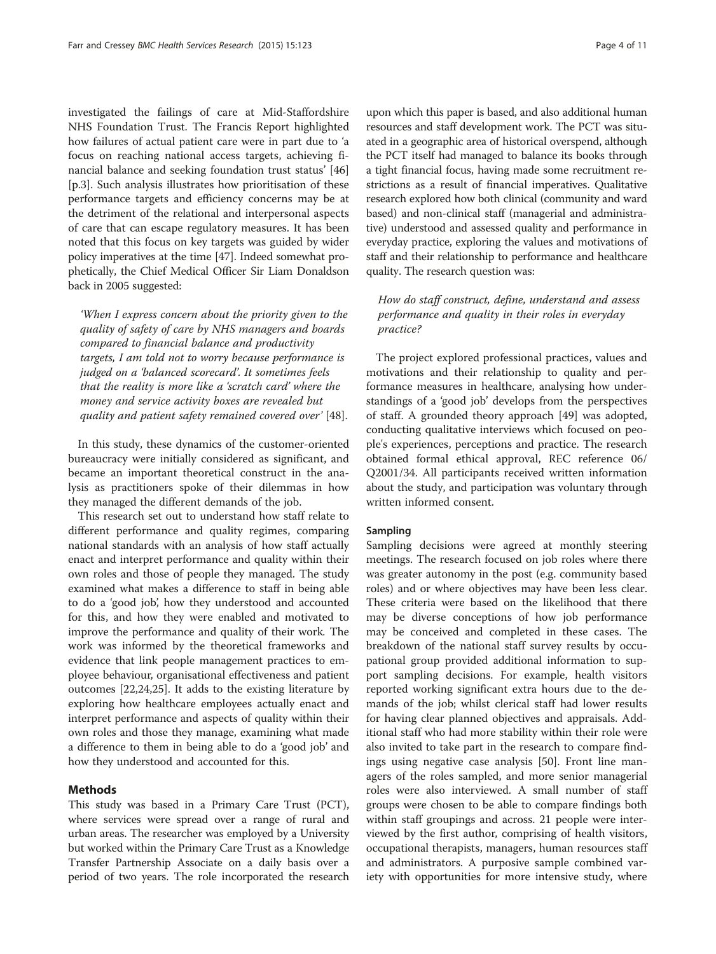investigated the failings of care at Mid-Staffordshire NHS Foundation Trust. The Francis Report highlighted how failures of actual patient care were in part due to 'a focus on reaching national access targets, achieving financial balance and seeking foundation trust status' [[46](#page-9-0)] [p.3]. Such analysis illustrates how prioritisation of these performance targets and efficiency concerns may be at the detriment of the relational and interpersonal aspects of care that can escape regulatory measures. It has been noted that this focus on key targets was guided by wider policy imperatives at the time [[47](#page-9-0)]. Indeed somewhat prophetically, the Chief Medical Officer Sir Liam Donaldson back in 2005 suggested:

'When I express concern about the priority given to the quality of safety of care by NHS managers and boards compared to financial balance and productivity targets, I am told not to worry because performance is judged on a 'balanced scorecard'. It sometimes feels that the reality is more like a 'scratch card' where the money and service activity boxes are revealed but quality and patient safety remained covered over' [\[48\]](#page-9-0).

In this study, these dynamics of the customer-oriented bureaucracy were initially considered as significant, and became an important theoretical construct in the analysis as practitioners spoke of their dilemmas in how they managed the different demands of the job.

This research set out to understand how staff relate to different performance and quality regimes, comparing national standards with an analysis of how staff actually enact and interpret performance and quality within their own roles and those of people they managed. The study examined what makes a difference to staff in being able to do a 'good job', how they understood and accounted for this, and how they were enabled and motivated to improve the performance and quality of their work. The work was informed by the theoretical frameworks and evidence that link people management practices to employee behaviour, organisational effectiveness and patient outcomes [[22,24,25\]](#page-9-0). It adds to the existing literature by exploring how healthcare employees actually enact and interpret performance and aspects of quality within their own roles and those they manage, examining what made a difference to them in being able to do a 'good job' and how they understood and accounted for this.

# Methods

This study was based in a Primary Care Trust (PCT), where services were spread over a range of rural and urban areas. The researcher was employed by a University but worked within the Primary Care Trust as a Knowledge Transfer Partnership Associate on a daily basis over a period of two years. The role incorporated the research upon which this paper is based, and also additional human resources and staff development work. The PCT was situated in a geographic area of historical overspend, although the PCT itself had managed to balance its books through a tight financial focus, having made some recruitment restrictions as a result of financial imperatives. Qualitative research explored how both clinical (community and ward based) and non-clinical staff (managerial and administrative) understood and assessed quality and performance in everyday practice, exploring the values and motivations of staff and their relationship to performance and healthcare quality. The research question was:

# How do staff construct, define, understand and assess performance and quality in their roles in everyday practice?

The project explored professional practices, values and motivations and their relationship to quality and performance measures in healthcare, analysing how understandings of a 'good job' develops from the perspectives of staff. A grounded theory approach [[49\]](#page-9-0) was adopted, conducting qualitative interviews which focused on people's experiences, perceptions and practice. The research obtained formal ethical approval, REC reference 06/ Q2001/34. All participants received written information about the study, and participation was voluntary through written informed consent.

## Sampling

Sampling decisions were agreed at monthly steering meetings. The research focused on job roles where there was greater autonomy in the post (e.g. community based roles) and or where objectives may have been less clear. These criteria were based on the likelihood that there may be diverse conceptions of how job performance may be conceived and completed in these cases. The breakdown of the national staff survey results by occupational group provided additional information to support sampling decisions. For example, health visitors reported working significant extra hours due to the demands of the job; whilst clerical staff had lower results for having clear planned objectives and appraisals. Additional staff who had more stability within their role were also invited to take part in the research to compare findings using negative case analysis [[50\]](#page-10-0). Front line managers of the roles sampled, and more senior managerial roles were also interviewed. A small number of staff groups were chosen to be able to compare findings both within staff groupings and across. 21 people were interviewed by the first author, comprising of health visitors, occupational therapists, managers, human resources staff and administrators. A purposive sample combined variety with opportunities for more intensive study, where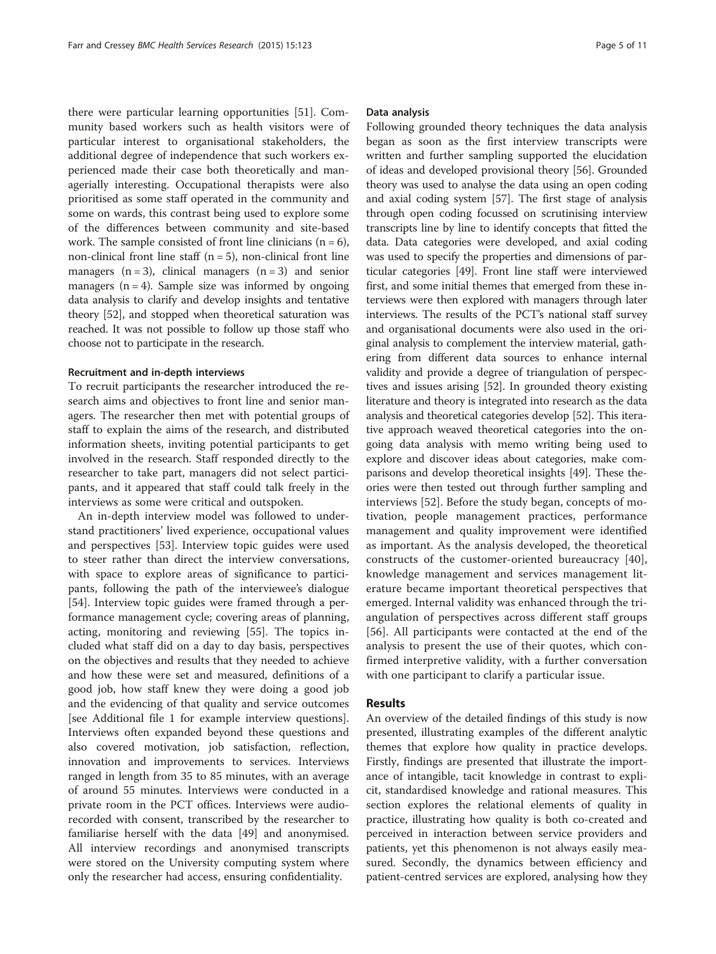there were particular learning opportunities [[51\]](#page-10-0). Community based workers such as health visitors were of particular interest to organisational stakeholders, the additional degree of independence that such workers experienced made their case both theoretically and managerially interesting. Occupational therapists were also prioritised as some staff operated in the community and some on wards, this contrast being used to explore some of the differences between community and site-based work. The sample consisted of front line clinicians  $(n = 6)$ , non-clinical front line staff  $(n = 5)$ , non-clinical front line managers  $(n = 3)$ , clinical managers  $(n = 3)$  and senior managers  $(n = 4)$ . Sample size was informed by ongoing data analysis to clarify and develop insights and tentative theory [[52\]](#page-10-0), and stopped when theoretical saturation was reached. It was not possible to follow up those staff who choose not to participate in the research.

#### Recruitment and in-depth interviews

To recruit participants the researcher introduced the research aims and objectives to front line and senior managers. The researcher then met with potential groups of staff to explain the aims of the research, and distributed information sheets, inviting potential participants to get involved in the research. Staff responded directly to the researcher to take part, managers did not select participants, and it appeared that staff could talk freely in the interviews as some were critical and outspoken.

An in-depth interview model was followed to understand practitioners' lived experience, occupational values and perspectives [\[53](#page-10-0)]. Interview topic guides were used to steer rather than direct the interview conversations, with space to explore areas of significance to participants, following the path of the interviewee's dialogue [[54\]](#page-10-0). Interview topic guides were framed through a performance management cycle; covering areas of planning, acting, monitoring and reviewing [[55\]](#page-10-0). The topics included what staff did on a day to day basis, perspectives on the objectives and results that they needed to achieve and how these were set and measured, definitions of a good job, how staff knew they were doing a good job and the evidencing of that quality and service outcomes [see Additional file [1](#page-8-0) for example interview questions]. Interviews often expanded beyond these questions and also covered motivation, job satisfaction, reflection, innovation and improvements to services. Interviews ranged in length from 35 to 85 minutes, with an average of around 55 minutes. Interviews were conducted in a private room in the PCT offices. Interviews were audiorecorded with consent, transcribed by the researcher to familiarise herself with the data [[49](#page-9-0)] and anonymised. All interview recordings and anonymised transcripts were stored on the University computing system where only the researcher had access, ensuring confidentiality.

#### Data analysis

Following grounded theory techniques the data analysis began as soon as the first interview transcripts were written and further sampling supported the elucidation of ideas and developed provisional theory [[56](#page-10-0)]. Grounded theory was used to analyse the data using an open coding and axial coding system [\[57\]](#page-10-0). The first stage of analysis through open coding focussed on scrutinising interview transcripts line by line to identify concepts that fitted the data. Data categories were developed, and axial coding was used to specify the properties and dimensions of particular categories [\[49\]](#page-9-0). Front line staff were interviewed first, and some initial themes that emerged from these interviews were then explored with managers through later interviews. The results of the PCT's national staff survey and organisational documents were also used in the original analysis to complement the interview material, gathering from different data sources to enhance internal validity and provide a degree of triangulation of perspectives and issues arising [\[52\]](#page-10-0). In grounded theory existing literature and theory is integrated into research as the data analysis and theoretical categories develop [\[52\]](#page-10-0). This iterative approach weaved theoretical categories into the ongoing data analysis with memo writing being used to explore and discover ideas about categories, make comparisons and develop theoretical insights [[49](#page-9-0)]. These theories were then tested out through further sampling and interviews [\[52](#page-10-0)]. Before the study began, concepts of motivation, people management practices, performance management and quality improvement were identified as important. As the analysis developed, the theoretical constructs of the customer-oriented bureaucracy [\[40](#page-9-0)], knowledge management and services management literature became important theoretical perspectives that emerged. Internal validity was enhanced through the triangulation of perspectives across different staff groups [[56\]](#page-10-0). All participants were contacted at the end of the analysis to present the use of their quotes, which confirmed interpretive validity, with a further conversation with one participant to clarify a particular issue.

#### Results

An overview of the detailed findings of this study is now presented, illustrating examples of the different analytic themes that explore how quality in practice develops. Firstly, findings are presented that illustrate the importance of intangible, tacit knowledge in contrast to explicit, standardised knowledge and rational measures. This section explores the relational elements of quality in practice, illustrating how quality is both co-created and perceived in interaction between service providers and patients, yet this phenomenon is not always easily measured. Secondly, the dynamics between efficiency and patient-centred services are explored, analysing how they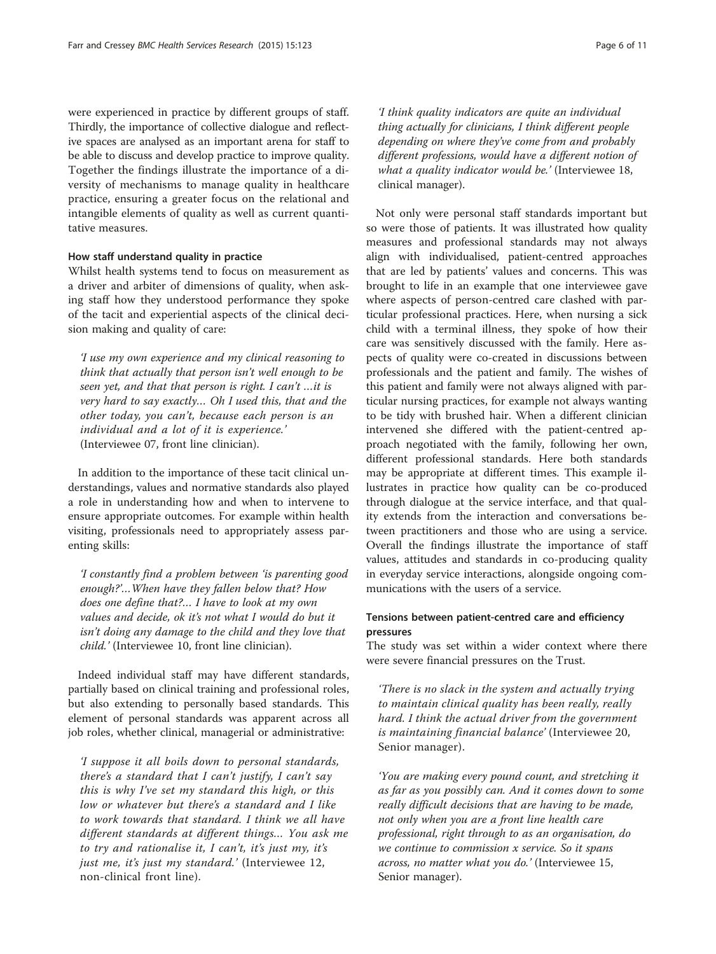were experienced in practice by different groups of staff. Thirdly, the importance of collective dialogue and reflective spaces are analysed as an important arena for staff to be able to discuss and develop practice to improve quality. Together the findings illustrate the importance of a diversity of mechanisms to manage quality in healthcare practice, ensuring a greater focus on the relational and intangible elements of quality as well as current quantitative measures.

#### How staff understand quality in practice

Whilst health systems tend to focus on measurement as a driver and arbiter of dimensions of quality, when asking staff how they understood performance they spoke of the tacit and experiential aspects of the clinical decision making and quality of care:

'I use my own experience and my clinical reasoning to think that actually that person isn't well enough to be seen yet, and that that person is right. I can't …it is very hard to say exactly… Oh I used this, that and the other today, you can't, because each person is an individual and a lot of it is experience.' (Interviewee 07, front line clinician).

In addition to the importance of these tacit clinical understandings, values and normative standards also played a role in understanding how and when to intervene to ensure appropriate outcomes. For example within health visiting, professionals need to appropriately assess parenting skills:

'I constantly find a problem between 'is parenting good enough?'…When have they fallen below that? How does one define that?… I have to look at my own values and decide, ok it's not what I would do but it isn't doing any damage to the child and they love that child.' (Interviewee 10, front line clinician).

Indeed individual staff may have different standards, partially based on clinical training and professional roles, but also extending to personally based standards. This element of personal standards was apparent across all job roles, whether clinical, managerial or administrative:

'I suppose it all boils down to personal standards, there's a standard that I can't justify, I can't say this is why I've set my standard this high, or this low or whatever but there's a standard and I like to work towards that standard. I think we all have different standards at different things… You ask me to try and rationalise it, I can't, it's just my, it's just me, it's just my standard.' (Interviewee 12, non-clinical front line).

'I think quality indicators are quite an individual thing actually for clinicians, I think different people depending on where they've come from and probably different professions, would have a different notion of what a quality indicator would be.' (Interviewee 18, clinical manager).

Not only were personal staff standards important but so were those of patients. It was illustrated how quality measures and professional standards may not always align with individualised, patient-centred approaches that are led by patients' values and concerns. This was brought to life in an example that one interviewee gave where aspects of person-centred care clashed with particular professional practices. Here, when nursing a sick child with a terminal illness, they spoke of how their care was sensitively discussed with the family. Here aspects of quality were co-created in discussions between professionals and the patient and family. The wishes of this patient and family were not always aligned with particular nursing practices, for example not always wanting to be tidy with brushed hair. When a different clinician intervened she differed with the patient-centred approach negotiated with the family, following her own, different professional standards. Here both standards may be appropriate at different times. This example illustrates in practice how quality can be co-produced through dialogue at the service interface, and that quality extends from the interaction and conversations between practitioners and those who are using a service. Overall the findings illustrate the importance of staff values, attitudes and standards in co-producing quality in everyday service interactions, alongside ongoing communications with the users of a service.

# Tensions between patient-centred care and efficiency pressures

The study was set within a wider context where there were severe financial pressures on the Trust.

'There is no slack in the system and actually trying to maintain clinical quality has been really, really hard. I think the actual driver from the government is maintaining financial balance' (Interviewee 20, Senior manager).

'You are making every pound count, and stretching it as far as you possibly can. And it comes down to some really difficult decisions that are having to be made, not only when you are a front line health care professional, right through to as an organisation, do we continue to commission x service. So it spans across, no matter what you do.' (Interviewee 15, Senior manager).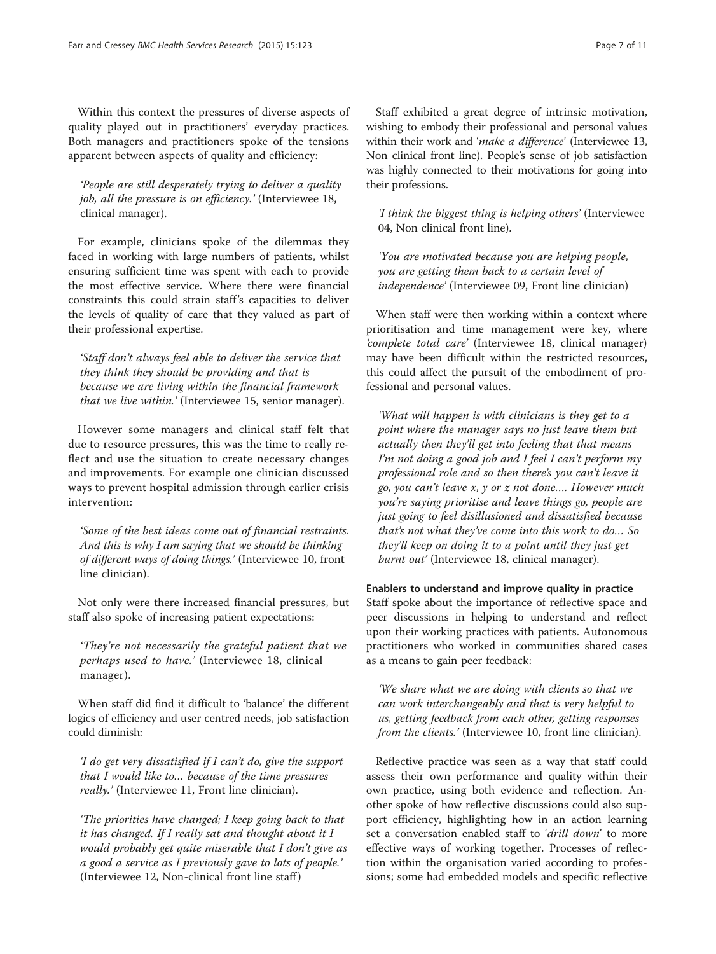Within this context the pressures of diverse aspects of quality played out in practitioners' everyday practices. Both managers and practitioners spoke of the tensions apparent between aspects of quality and efficiency:

'People are still desperately trying to deliver a quality job, all the pressure is on efficiency.' (Interviewee 18, clinical manager).

For example, clinicians spoke of the dilemmas they faced in working with large numbers of patients, whilst ensuring sufficient time was spent with each to provide the most effective service. Where there were financial constraints this could strain staff's capacities to deliver the levels of quality of care that they valued as part of their professional expertise.

'Staff don't always feel able to deliver the service that they think they should be providing and that is because we are living within the financial framework that we live within.' (Interviewee 15, senior manager).

However some managers and clinical staff felt that due to resource pressures, this was the time to really reflect and use the situation to create necessary changes and improvements. For example one clinician discussed ways to prevent hospital admission through earlier crisis intervention:

'Some of the best ideas come out of financial restraints. And this is why I am saying that we should be thinking of different ways of doing things.' (Interviewee 10, front line clinician).

Not only were there increased financial pressures, but staff also spoke of increasing patient expectations:

'They're not necessarily the grateful patient that we perhaps used to have.' (Interviewee 18, clinical manager).

When staff did find it difficult to 'balance' the different logics of efficiency and user centred needs, job satisfaction could diminish:

'I do get very dissatisfied if I can't do, give the support that I would like to… because of the time pressures really.' (Interviewee 11, Front line clinician).

'The priorities have changed; I keep going back to that it has changed. If I really sat and thought about it I would probably get quite miserable that I don't give as a good a service as I previously gave to lots of people.' (Interviewee 12, Non-clinical front line staff )

Staff exhibited a great degree of intrinsic motivation, wishing to embody their professional and personal values within their work and 'make a difference' (Interviewee 13, Non clinical front line). People's sense of job satisfaction was highly connected to their motivations for going into their professions.

'I think the biggest thing is helping others' (Interviewee 04, Non clinical front line).

'You are motivated because you are helping people, you are getting them back to a certain level of independence' (Interviewee 09, Front line clinician)

When staff were then working within a context where prioritisation and time management were key, where 'complete total care' (Interviewee 18, clinical manager) may have been difficult within the restricted resources, this could affect the pursuit of the embodiment of professional and personal values.

'What will happen is with clinicians is they get to a point where the manager says no just leave them but actually then they'll get into feeling that that means I'm not doing a good job and I feel I can't perform my professional role and so then there's you can't leave it go, you can't leave x, y or z not done…. However much you're saying prioritise and leave things go, people are just going to feel disillusioned and dissatisfied because that's not what they've come into this work to do… So they'll keep on doing it to a point until they just get burnt out' (Interviewee 18, clinical manager).

# Enablers to understand and improve quality in practice

Staff spoke about the importance of reflective space and peer discussions in helping to understand and reflect upon their working practices with patients. Autonomous practitioners who worked in communities shared cases as a means to gain peer feedback:

'We share what we are doing with clients so that we can work interchangeably and that is very helpful to us, getting feedback from each other, getting responses from the clients.' (Interviewee 10, front line clinician).

Reflective practice was seen as a way that staff could assess their own performance and quality within their own practice, using both evidence and reflection. Another spoke of how reflective discussions could also support efficiency, highlighting how in an action learning set a conversation enabled staff to 'drill down' to more effective ways of working together. Processes of reflection within the organisation varied according to professions; some had embedded models and specific reflective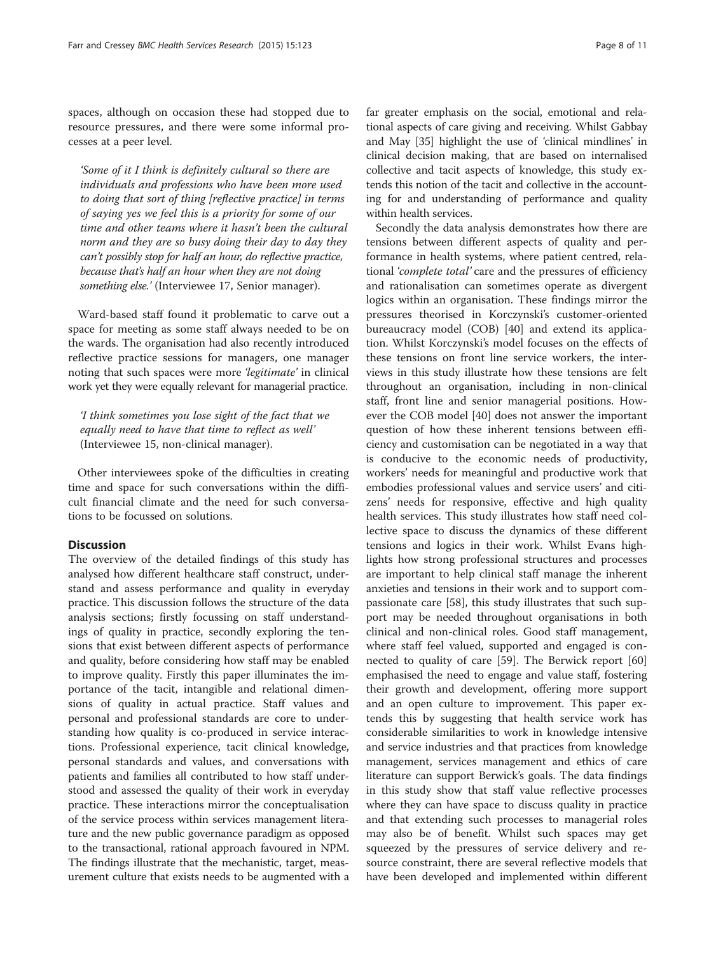spaces, although on occasion these had stopped due to resource pressures, and there were some informal processes at a peer level.

'Some of it I think is definitely cultural so there are individuals and professions who have been more used to doing that sort of thing [reflective practice] in terms of saying yes we feel this is a priority for some of our time and other teams where it hasn't been the cultural norm and they are so busy doing their day to day they can't possibly stop for half an hour, do reflective practice, because that's half an hour when they are not doing something else.' (Interviewee 17, Senior manager).

Ward-based staff found it problematic to carve out a space for meeting as some staff always needed to be on the wards. The organisation had also recently introduced reflective practice sessions for managers, one manager noting that such spaces were more 'legitimate' in clinical work yet they were equally relevant for managerial practice.

'I think sometimes you lose sight of the fact that we equally need to have that time to reflect as well' (Interviewee 15, non-clinical manager).

Other interviewees spoke of the difficulties in creating time and space for such conversations within the difficult financial climate and the need for such conversations to be focussed on solutions.

## Discussion

The overview of the detailed findings of this study has analysed how different healthcare staff construct, understand and assess performance and quality in everyday practice. This discussion follows the structure of the data analysis sections; firstly focussing on staff understandings of quality in practice, secondly exploring the tensions that exist between different aspects of performance and quality, before considering how staff may be enabled to improve quality. Firstly this paper illuminates the importance of the tacit, intangible and relational dimensions of quality in actual practice. Staff values and personal and professional standards are core to understanding how quality is co-produced in service interactions. Professional experience, tacit clinical knowledge, personal standards and values, and conversations with patients and families all contributed to how staff understood and assessed the quality of their work in everyday practice. These interactions mirror the conceptualisation of the service process within services management literature and the new public governance paradigm as opposed to the transactional, rational approach favoured in NPM. The findings illustrate that the mechanistic, target, measurement culture that exists needs to be augmented with a far greater emphasis on the social, emotional and relational aspects of care giving and receiving. Whilst Gabbay and May [\[35](#page-9-0)] highlight the use of 'clinical mindlines' in clinical decision making, that are based on internalised collective and tacit aspects of knowledge, this study extends this notion of the tacit and collective in the accounting for and understanding of performance and quality within health services.

Secondly the data analysis demonstrates how there are tensions between different aspects of quality and performance in health systems, where patient centred, relational 'complete total' care and the pressures of efficiency and rationalisation can sometimes operate as divergent logics within an organisation. These findings mirror the pressures theorised in Korczynski's customer-oriented bureaucracy model (COB) [[40\]](#page-9-0) and extend its application. Whilst Korczynski's model focuses on the effects of these tensions on front line service workers, the interviews in this study illustrate how these tensions are felt throughout an organisation, including in non-clinical staff, front line and senior managerial positions. However the COB model [[40\]](#page-9-0) does not answer the important question of how these inherent tensions between efficiency and customisation can be negotiated in a way that is conducive to the economic needs of productivity, workers' needs for meaningful and productive work that embodies professional values and service users' and citizens' needs for responsive, effective and high quality health services. This study illustrates how staff need collective space to discuss the dynamics of these different tensions and logics in their work. Whilst Evans highlights how strong professional structures and processes are important to help clinical staff manage the inherent anxieties and tensions in their work and to support compassionate care [[58\]](#page-10-0), this study illustrates that such support may be needed throughout organisations in both clinical and non-clinical roles. Good staff management, where staff feel valued, supported and engaged is connected to quality of care [[59](#page-10-0)]. The Berwick report [[60](#page-10-0)] emphasised the need to engage and value staff, fostering their growth and development, offering more support and an open culture to improvement. This paper extends this by suggesting that health service work has considerable similarities to work in knowledge intensive and service industries and that practices from knowledge management, services management and ethics of care literature can support Berwick's goals. The data findings in this study show that staff value reflective processes where they can have space to discuss quality in practice and that extending such processes to managerial roles may also be of benefit. Whilst such spaces may get squeezed by the pressures of service delivery and resource constraint, there are several reflective models that have been developed and implemented within different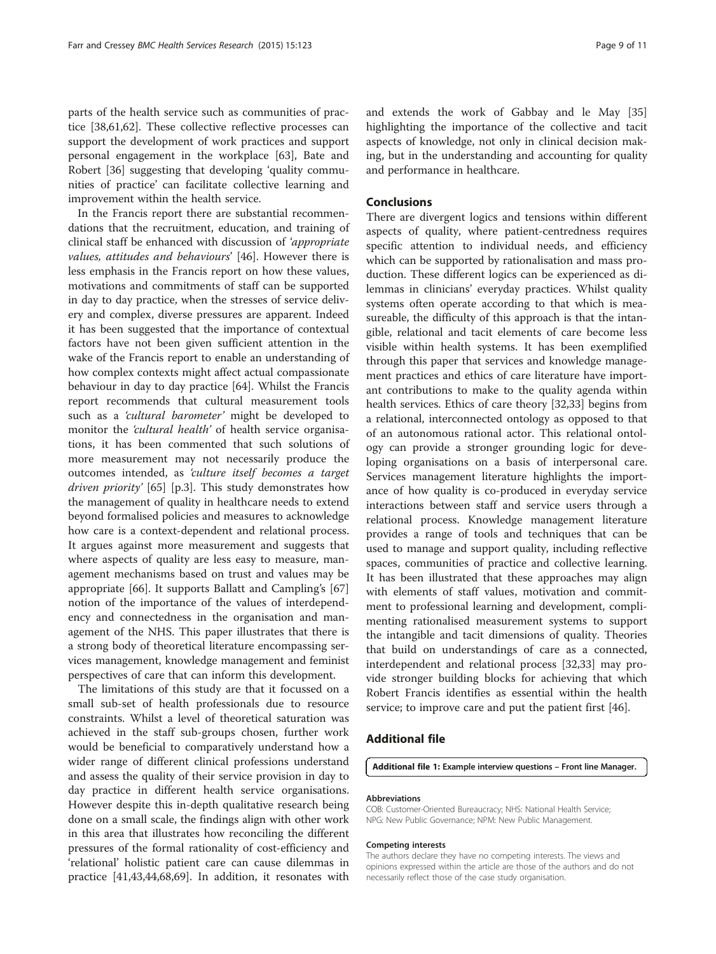<span id="page-8-0"></span>parts of the health service such as communities of practice [[38](#page-9-0)[,61,62](#page-10-0)]. These collective reflective processes can support the development of work practices and support personal engagement in the workplace [\[63\]](#page-10-0), Bate and Robert [\[36](#page-9-0)] suggesting that developing 'quality communities of practice' can facilitate collective learning and improvement within the health service.

In the Francis report there are substantial recommendations that the recruitment, education, and training of clinical staff be enhanced with discussion of 'appropriate values, attitudes and behaviours' [\[46](#page-9-0)]. However there is less emphasis in the Francis report on how these values, motivations and commitments of staff can be supported in day to day practice, when the stresses of service delivery and complex, diverse pressures are apparent. Indeed it has been suggested that the importance of contextual factors have not been given sufficient attention in the wake of the Francis report to enable an understanding of how complex contexts might affect actual compassionate behaviour in day to day practice [\[64\]](#page-10-0). Whilst the Francis report recommends that cultural measurement tools such as a 'cultural barometer' might be developed to monitor the 'cultural health' of health service organisations, it has been commented that such solutions of more measurement may not necessarily produce the outcomes intended, as 'culture itself becomes a target driven priority' [\[65](#page-10-0)] [p.3]. This study demonstrates how the management of quality in healthcare needs to extend beyond formalised policies and measures to acknowledge how care is a context-dependent and relational process. It argues against more measurement and suggests that where aspects of quality are less easy to measure, management mechanisms based on trust and values may be appropriate [\[66](#page-10-0)]. It supports Ballatt and Campling's [[67](#page-10-0)] notion of the importance of the values of interdependency and connectedness in the organisation and management of the NHS. This paper illustrates that there is a strong body of theoretical literature encompassing services management, knowledge management and feminist perspectives of care that can inform this development.

The limitations of this study are that it focussed on a small sub-set of health professionals due to resource constraints. Whilst a level of theoretical saturation was achieved in the staff sub-groups chosen, further work would be beneficial to comparatively understand how a wider range of different clinical professions understand and assess the quality of their service provision in day to day practice in different health service organisations. However despite this in-depth qualitative research being done on a small scale, the findings align with other work in this area that illustrates how reconciling the different pressures of the formal rationality of cost-efficiency and 'relational' holistic patient care can cause dilemmas in practice [[41,43,44,](#page-9-0)[68,69\]](#page-10-0). In addition, it resonates with

and extends the work of Gabbay and le May [[35](#page-9-0)] highlighting the importance of the collective and tacit aspects of knowledge, not only in clinical decision making, but in the understanding and accounting for quality and performance in healthcare.

# Conclusions

There are divergent logics and tensions within different aspects of quality, where patient-centredness requires specific attention to individual needs, and efficiency which can be supported by rationalisation and mass production. These different logics can be experienced as dilemmas in clinicians' everyday practices. Whilst quality systems often operate according to that which is measureable, the difficulty of this approach is that the intangible, relational and tacit elements of care become less visible within health systems. It has been exemplified through this paper that services and knowledge management practices and ethics of care literature have important contributions to make to the quality agenda within health services. Ethics of care theory [[32,33](#page-9-0)] begins from a relational, interconnected ontology as opposed to that of an autonomous rational actor. This relational ontology can provide a stronger grounding logic for developing organisations on a basis of interpersonal care. Services management literature highlights the importance of how quality is co-produced in everyday service interactions between staff and service users through a relational process. Knowledge management literature provides a range of tools and techniques that can be used to manage and support quality, including reflective spaces, communities of practice and collective learning. It has been illustrated that these approaches may align with elements of staff values, motivation and commitment to professional learning and development, complimenting rationalised measurement systems to support the intangible and tacit dimensions of quality. Theories that build on understandings of care as a connected, interdependent and relational process [[32](#page-9-0),[33](#page-9-0)] may provide stronger building blocks for achieving that which Robert Francis identifies as essential within the health service; to improve care and put the patient first [\[46](#page-9-0)].

# Additional file

[Additional file 1:](http://www.biomedcentral.com/content/supplementary/s12913-015-0788-1-s1.pdf) Example interview questions – Front line Manager.

#### Abbreviations

COB: Customer-Oriented Bureaucracy; NHS: National Health Service; NPG: New Public Governance; NPM: New Public Management.

#### Competing interests

The authors declare they have no competing interests. The views and opinions expressed within the article are those of the authors and do not necessarily reflect those of the case study organisation.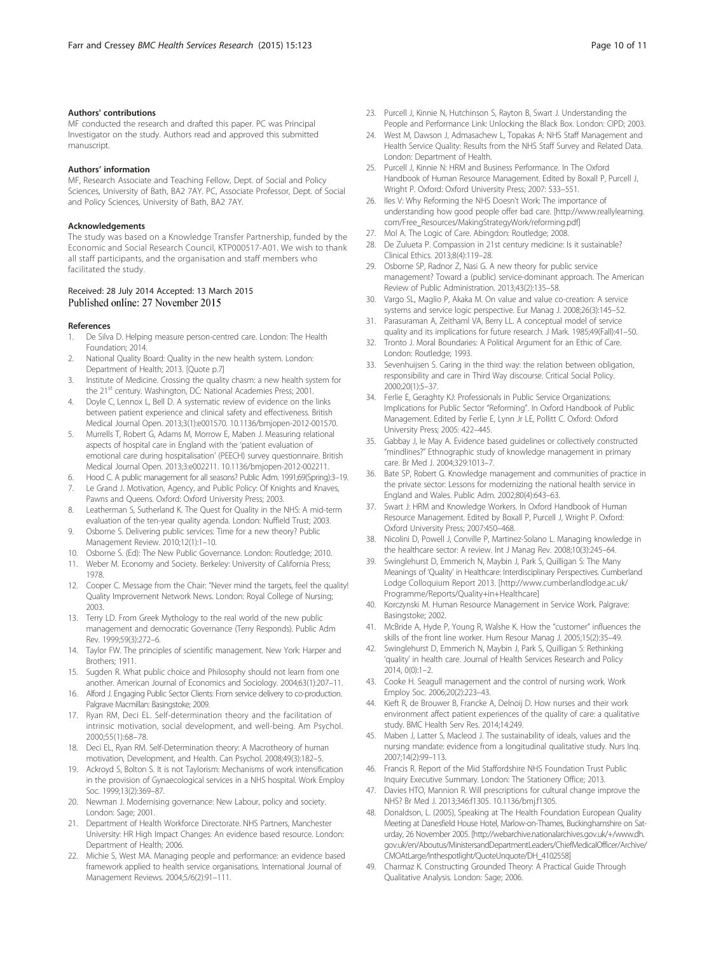#### <span id="page-9-0"></span>Authors' contributions

MF conducted the research and drafted this paper. PC was Principal Investigator on the study. Authors read and approved this submitted manuscript.

#### Authors' information

MF, Research Associate and Teaching Fellow, Dept. of Social and Policy Sciences, University of Bath, BA2 7AY. PC, Associate Professor, Dept. of Social and Policy Sciences, University of Bath, BA2 7AY.

#### Acknowledgements

The study was based on a Knowledge Transfer Partnership, funded by the Economic and Social Research Council, KTP000517-A01. We wish to thank all staff participants, and the organisation and staff members who facilitated the study.

# Received: 28 July 2014 Accepted: 13 March 2015<br>Published online: 27 November 2015

#### References

- 1. De Silva D. Helping measure person-centred care. London: The Health Foundation; 2014.
- 2. National Quality Board: Quality in the new health system. London: Department of Health; 2013. [Quote p.7]
- 3. Institute of Medicine. Crossing the quality chasm: a new health system for the 21<sup>st</sup> century. Washington, DC: National Academies Press; 2001.
- 4. Doyle C, Lennox L, Bell D. A systematic review of evidence on the links between patient experience and clinical safety and effectiveness. British Medical Journal Open. 2013;3(1):e001570. 10.1136/bmjopen-2012-001570.
- 5. Murrells T, Robert G, Adams M, Morrow E, Maben J. Measuring relational aspects of hospital care in England with the 'patient evaluation of emotional care during hospitalisation' (PEECH) survey questionnaire. British Medical Journal Open. 2013;3:e002211. 10.1136/bmjopen-2012-002211.
- 6. Hood C. A public management for all seasons? Public Adm. 1991;69(Spring):3–19. 7. Le Grand J. Motivation, Agency, and Public Policy: Of Knights and Knaves,
- Pawns and Queens. Oxford: Oxford University Press; 2003. 8. Leatherman S, Sutherland K. The Quest for Quality in the NHS: A mid-term
- evaluation of the ten-year quality agenda. London: Nuffield Trust; 2003. 9. Osborne S. Delivering public services: Time for a new theory? Public
- Management Review. 2010;12(1):1–10. 10. Osborne S. (Ed): The New Public Governance. London: Routledge; 2010.
- 11. Weber M. Economy and Society. Berkeley: University of California Press; 1978.
- 12. Cooper C. Message from the Chair: "Never mind the targets, feel the quality! Quality Improvement Network News. London: Royal College of Nursing; 2003.
- 13. Terry LD. From Greek Mythology to the real world of the new public management and democratic Governance (Terry Responds). Public Adm Rev. 1999;59(3):272–6.
- 14. Taylor FW. The principles of scientific management. New York: Harper and Brothers; 1911.
- 15. Sugden R. What public choice and Philosophy should not learn from one another. American Journal of Economics and Sociology. 2004;63(1):207–11.
- 16. Alford J. Engaging Public Sector Clients: From service delivery to co-production. Palgrave Macmillan: Basingstoke; 2009.
- 17. Ryan RM, Deci EL. Self-determination theory and the facilitation of intrinsic motivation, social development, and well-being. Am Psychol. 2000;55(1):68–78.
- 18. Deci EL, Ryan RM. Self-Determination theory: A Macrotheory of human motivation, Development, and Health. Can Psychol. 2008;49(3):182–5.
- 19. Ackroyd S, Bolton S. It is not Taylorism: Mechanisms of work intensification in the provision of Gynaecological services in a NHS hospital. Work Employ Soc. 1999;13(2):369–87.
- 20. Newman J. Modernising governance: New Labour, policy and society. London: Sage; 2001.
- 21. Department of Health Workforce Directorate. NHS Partners, Manchester University: HR High Impact Changes: An evidence based resource. London: Department of Health; 2006.
- 22. Michie S, West MA. Managing people and performance: an evidence based framework applied to health service organisations. International Journal of Management Reviews. 2004;5/6(2):91–111.
- 23. Purcell J, Kinnie N, Hutchinson S, Rayton B, Swart J. Understanding the People and Performance Link: Unlocking the Black Box. London: CIPD; 2003.
- 24. West M, Dawson J, Admasachew L, Topakas A: NHS Staff Management and Health Service Quality: Results from the NHS Staff Survey and Related Data. London: Department of Health.
- 25. Purcell J, Kinnie N: HRM and Business Performance. In The Oxford Handbook of Human Resource Management. Edited by Boxall P, Purcell J, Wright P. Oxford: Oxford University Press; 2007: 533–551.
- 26. Iles V: Why Reforming the NHS Doesn't Work: The importance of understanding how good people offer bad care. [[http://www.reallylearning.](http://www.reallylearning.com/Free_Resources/MakingStrategyWork/reforming.pdf) [com/Free\\_Resources/MakingStrategyWork/reforming.pdf](http://www.reallylearning.com/Free_Resources/MakingStrategyWork/reforming.pdf)]
- 27. Mol A. The Logic of Care. Abingdon: Routledge: 2008.
- 28. De Zulueta P. Compassion in 21st century medicine: Is it sustainable? Clinical Ethics. 2013;8(4):119–28.
- 29. Osborne SP, Radnor Z, Nasi G. A new theory for public service management? Toward a (public) service-dominant approach. The American Review of Public Administration. 2013;43(2):135–58.
- Vargo SL, Maglio P, Akaka M. On value and value co-creation: A service systems and service logic perspective. Eur Manag J. 2008;26(3):145–52.
- 31. Parasuraman A, Zeithaml VA, Berry LL. A conceptual model of service quality and its implications for future research. J Mark. 1985;49(Fall):41–50.
- 32. Tronto J. Moral Boundaries: A Political Argument for an Ethic of Care. London: Routledge; 1993.
- 33. Sevenhuijsen S. Caring in the third way: the relation between obligation, responsibility and care in Third Way discourse. Critical Social Policy. 2000;20(1):5–37.
- 34. Ferlie E, Geraghty KJ: Professionals in Public Service Organizations: Implications for Public Sector "Reforming". In Oxford Handbook of Public Management. Edited by Ferlie E, Lynn Jr LE, Pollitt C. Oxford: Oxford University Press; 2005: 422–445.
- 35. Gabbay J, le May A. Evidence based guidelines or collectively constructed "mindlines?" Ethnographic study of knowledge management in primary care. Br Med J. 2004;329:1013–7.
- 36. Bate SP, Robert G. Knowledge management and communities of practice in the private sector: Lessons for modernizing the national health service in England and Wales. Public Adm. 2002;80(4):643–63.
- 37. Swart J: HRM and Knowledge Workers. In Oxford Handbook of Human Resource Management. Edited by Boxall P, Purcell J, Wright P. Oxford: Oxford University Press; 2007:450–468.
- 38. Nicolini D, Powell J, Conville P, Martinez-Solano L. Managing knowledge in the healthcare sector: A review. Int J Manag Rev. 2008;10(3):245–64.
- 39. Swinglehurst D, Emmerich N, Maybin J, Park S, Quilligan S: The Many Meanings of 'Quality' in Healthcare: Interdisciplinary Perspectives. Cumberland Lodge Colloquium Report 2013. [[http://www.cumberlandlodge.ac.uk/](http://www.cumberlandlodge.ac.uk/Programme/Reports/Quality+in+Healthcare) [Programme/Reports/Quality+in+Healthcare\]](http://www.cumberlandlodge.ac.uk/Programme/Reports/Quality+in+Healthcare)
- 40. Korczynski M. Human Resource Management in Service Work. Palgrave: Basingstoke; 2002.
- 41. McBride A, Hyde P, Young R, Walshe K. How the "customer" influences the skills of the front line worker. Hum Resour Manag J. 2005;15(2):35–49.
- 42. Swinglehurst D, Emmerich N, Maybin J, Park S, Quilligan S: Rethinking 'quality' in health care. Journal of Health Services Research and Policy 2014, 0(0):1–2.
- 43. Cooke H. Seagull management and the control of nursing work. Work Employ Soc. 2006;20(2):223–43.
- 44. Kieft R, de Brouwer B, Francke A, Delnoij D. How nurses and their work environment affect patient experiences of the quality of care: a qualitative study. BMC Health Serv Res. 2014;14:249.
- 45. Maben J, Latter S, Macleod J. The sustainability of ideals, values and the nursing mandate: evidence from a longitudinal qualitative study. Nurs Inq. 2007;14(2):99–113.
- 46. Francis R. Report of the Mid Staffordshire NHS Foundation Trust Public Inquiry Executive Summary. London: The Stationery Office; 2013.
- 47. Davies HTO, Mannion R. Will prescriptions for cultural change improve the NHS? Br Med J. 2013;346:f1305. 10.1136/bmj.f1305.
- 48. Donaldson, L. (2005), Speaking at The Health Foundation European Quality Meeting at Danesfield House Hotel, Marlow-on-Thames, Buckinghamshire on Saturday, 26 November 2005. [\[http://webarchive.nationalarchives.gov.uk/+/www.dh.](http://webarchive.nationalarchives.gov.uk/+/www.dh.gov.uk/en/Aboutus/MinistersandDepartmentLeaders/ChiefMedicalOfficer/Archive/CMOAtLarge/Inthespotlight/QuoteUnquote/DH_4102558) [gov.uk/en/Aboutus/MinistersandDepartmentLeaders/ChiefMedicalOfficer/Archive/](http://webarchive.nationalarchives.gov.uk/+/www.dh.gov.uk/en/Aboutus/MinistersandDepartmentLeaders/ChiefMedicalOfficer/Archive/CMOAtLarge/Inthespotlight/QuoteUnquote/DH_4102558) [CMOAtLarge/Inthespotlight/QuoteUnquote/DH\\_4102558](http://webarchive.nationalarchives.gov.uk/+/www.dh.gov.uk/en/Aboutus/MinistersandDepartmentLeaders/ChiefMedicalOfficer/Archive/CMOAtLarge/Inthespotlight/QuoteUnquote/DH_4102558)]
- 49. Charmaz K. Constructing Grounded Theory: A Practical Guide Through Qualitative Analysis. London: Sage; 2006.